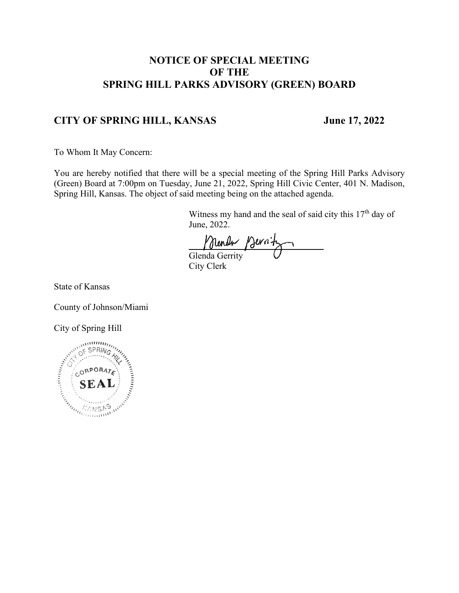### **NOTICE OF SPECIAL MEETING OF THE SPRING HILL PARKS ADVISORY (GREEN) BOARD**

### **CITY OF SPRING HILL, KANSAS June 17, 2022**

To Whom It May Concern:

You are hereby notified that there will be a special meeting of the Spring Hill Parks Advisory (Green) Board at 7:00pm on Tuesday, June 21, 2022, Spring Hill Civic Center, 401 N. Madison, Spring Hill, Kansas. The object of said meeting being on the attached agenda.

> Witness my hand and the seal of said city this  $17<sup>th</sup>$  day of June, 2022.

Munder Mernitz City Clerk

State of Kansas

County of Johnson/Miami

City of Spring Hill